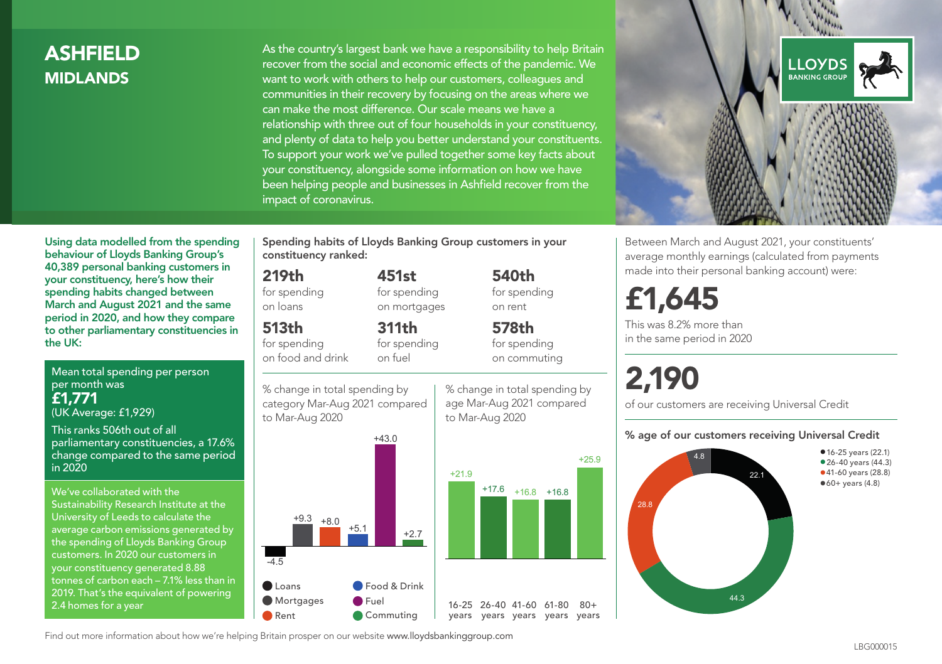# ASHFIELD MIDLANDS

As the country's largest bank we have a responsibility to help Britain recover from the social and economic effects of the pandemic. We want to work with others to help our customers, colleagues and communities in their recovery by focusing on the areas where we can make the most difference. Our scale means we have a relationship with three out of four households in your constituency, and plenty of data to help you better understand your constituents. To support your work we've pulled together some key facts about your constituency, alongside some information on how we have been helping people and businesses in Ashfield recover from the impact of coronavirus.



Between March and August 2021, your constituents' average monthly earnings (calculated from payments made into their personal banking account) were:

# £1,645

This was 8.2% more than in the same period in 2020

# 2,190

of our customers are receiving Universal Credit

#### % age of our customers receiving Universal Credit



Using data modelled from the spending behaviour of Lloyds Banking Group's 40,389 personal banking customers in your constituency, here's how their spending habits changed between March and August 2021 and the same period in 2020, and how they compare to other parliamentary constituencies in the UK:

Mean total spending per person per month was £1,771 (UK Average: £1,929)

This ranks 506th out of all parliamentary constituencies, a 17.6% change compared to the same period in 2020

We've collaborated with the Sustainability Research Institute at the University of Leeds to calculate the average carbon emissions generated by the spending of Lloyds Banking Group customers. In 2020 our customers in your constituency generated 8.88 tonnes of carbon each – 7.1% less than in 2019. That's the equivalent of powering 2.4 homes for a year

Spending habits of Lloyds Banking Group customers in your constituency ranked:

> 451st for spending on mortgages

311th

# 219th

for spending on loans

# 513th

for spending on food and drink

for spending on fuel

% change in total spending by category Mar-Aug 2021 compared to Mar-Aug 2020



% change in total spending by age Mar-Aug 2021 compared to Mar-Aug 2020

540th for spending on rent

578th for spending on commuting

+25.9

 $80+$